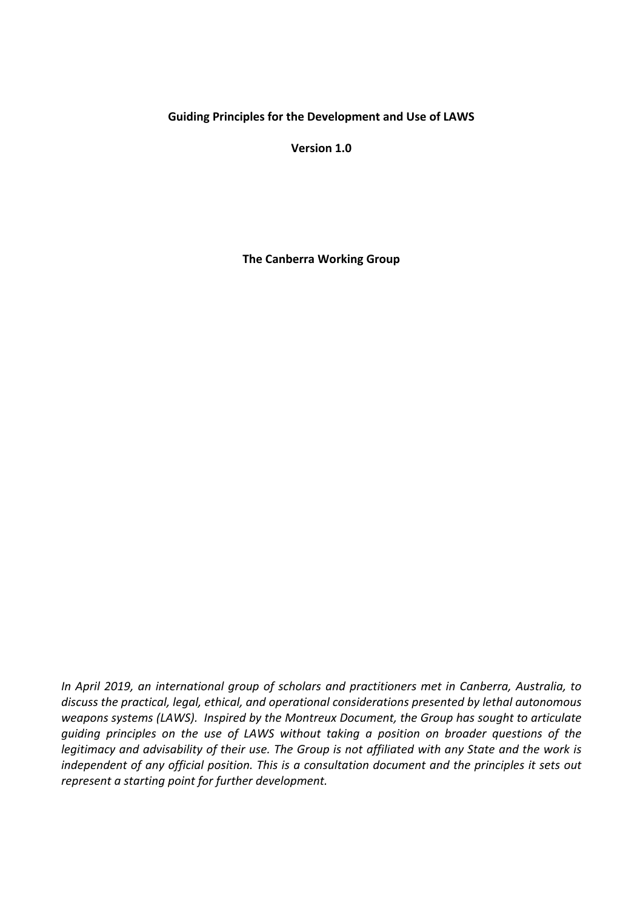#### **Guiding Principles for the Development and Use of LAWS**

**Version 1.0**

**The Canberra Working Group**

*In April 2019, an international group of scholars and practitioners met in Canberra, Australia, to discuss the practical, legal, ethical, and operational considerations presented by lethal autonomous weapons systems (LAWS). Inspired by the Montreux Document, the Group has sought to articulate guiding principles on the use of LAWS without taking a position on broader questions of the legitimacy and advisability of their use. The Group is not affiliated with any State and the work is independent of any official position. This is a consultation document and the principles it sets out represent a starting point for further development.*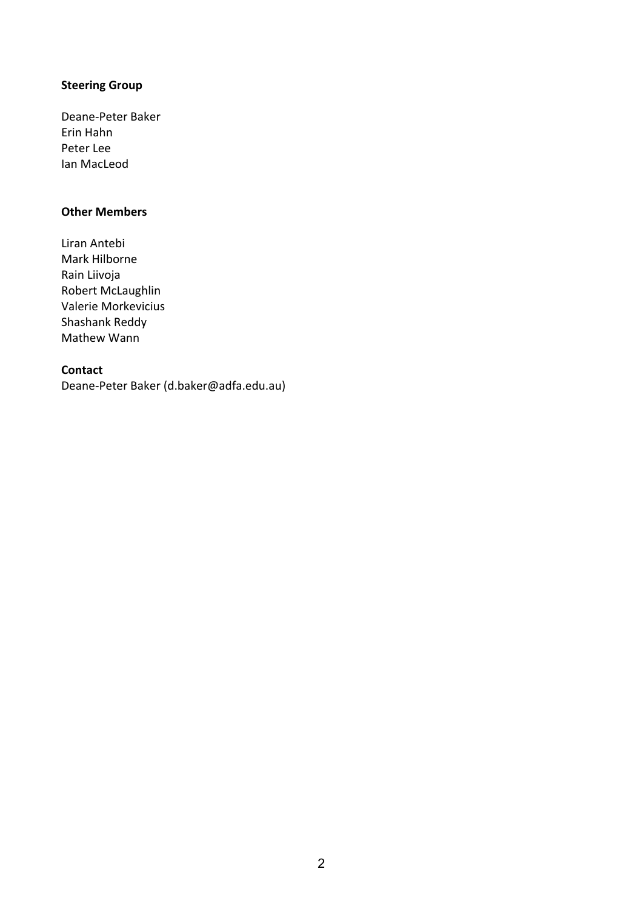# **Steering Group**

Deane-Peter Baker Erin Hahn Peter Lee Ian MacLeod

## **Other Members**

Liran Antebi Mark Hilborne Rain Liivoja Robert McLaughlin Valerie Morkevicius Shashank Reddy Mathew Wann

#### **Contact**

Deane-Peter Baker (d.baker@adfa.edu.au)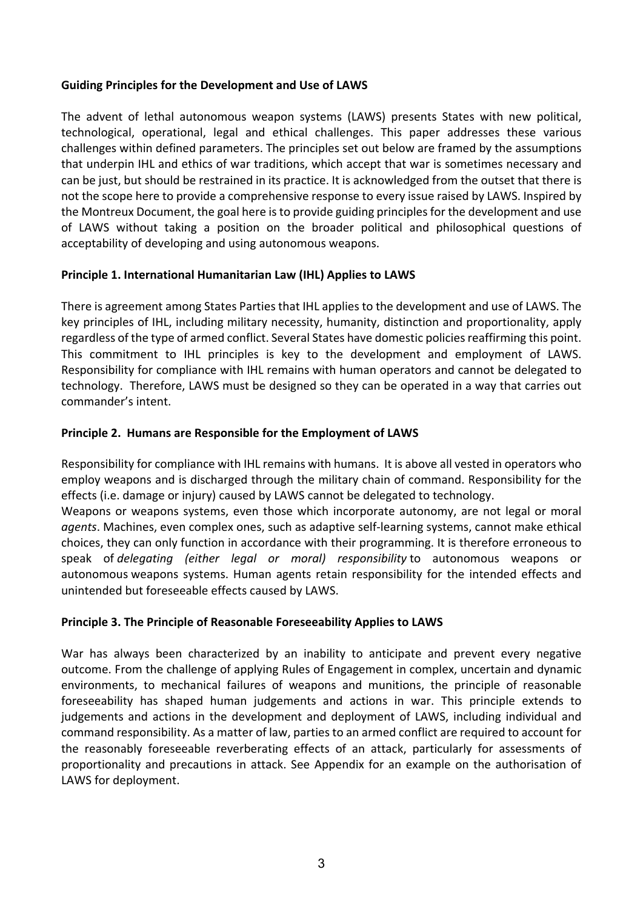### **Guiding Principles for the Development and Use of LAWS**

The advent of lethal autonomous weapon systems (LAWS) presents States with new political, technological, operational, legal and ethical challenges. This paper addresses these various challenges within defined parameters. The principles set out below are framed by the assumptions that underpin IHL and ethics of war traditions, which accept that war is sometimes necessary and can be just, but should be restrained in its practice. It is acknowledged from the outset that there is not the scope here to provide a comprehensive response to every issue raised by LAWS. Inspired by the Montreux Document, the goal here is to provide guiding principles for the development and use of LAWS without taking a position on the broader political and philosophical questions of acceptability of developing and using autonomous weapons.

## **Principle 1. International Humanitarian Law (IHL) Applies to LAWS**

There is agreement among States Parties that IHL applies to the development and use of LAWS. The key principles of IHL, including military necessity, humanity, distinction and proportionality, apply regardless of the type of armed conflict. Several States have domestic policies reaffirming this point. This commitment to IHL principles is key to the development and employment of LAWS. Responsibility for compliance with IHL remains with human operators and cannot be delegated to technology. Therefore, LAWS must be designed so they can be operated in a way that carries out commander's intent.

## **Principle 2. Humans are Responsible for the Employment of LAWS**

Responsibility for compliance with IHL remains with humans. It is above all vested in operators who employ weapons and is discharged through the military chain of command. Responsibility for the effects (i.e. damage or injury) caused by LAWS cannot be delegated to technology.

Weapons or weapons systems, even those which incorporate autonomy, are not legal or moral *agents*. Machines, even complex ones, such as adaptive self-learning systems, cannot make ethical choices, they can only function in accordance with their programming. It is therefore erroneous to speak of *delegating (either legal or moral) responsibility* to autonomous weapons or autonomous weapons systems. Human agents retain responsibility for the intended effects and unintended but foreseeable effects caused by LAWS.

## **Principle 3. The Principle of Reasonable Foreseeability Applies to LAWS**

War has always been characterized by an inability to anticipate and prevent every negative outcome. From the challenge of applying Rules of Engagement in complex, uncertain and dynamic environments, to mechanical failures of weapons and munitions, the principle of reasonable foreseeability has shaped human judgements and actions in war. This principle extends to judgements and actions in the development and deployment of LAWS, including individual and command responsibility. As a matter of law, parties to an armed conflict are required to account for the reasonably foreseeable reverberating effects of an attack, particularly for assessments of proportionality and precautions in attack. See Appendix for an example on the authorisation of LAWS for deployment.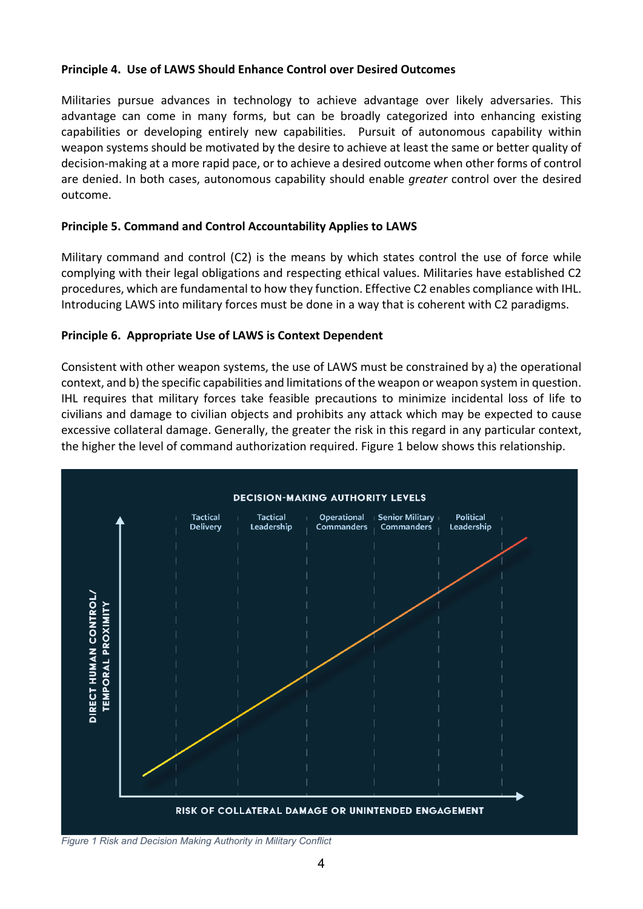### **Principle 4. Use of LAWS Should Enhance Control over Desired Outcomes**

Militaries pursue advances in technology to achieve advantage over likely adversaries. This advantage can come in many forms, but can be broadly categorized into enhancing existing capabilities or developing entirely new capabilities. Pursuit of autonomous capability within weapon systems should be motivated by the desire to achieve at least the same or better quality of decision-making at a more rapid pace, or to achieve a desired outcome when other forms of control are denied. In both cases, autonomous capability should enable *greater* control over the desired outcome.

### **Principle 5. Command and Control Accountability Applies to LAWS**

Military command and control (C2) is the means by which states control the use of force while complying with their legal obligations and respecting ethical values. Militaries have established C2 procedures, which are fundamental to how they function. Effective C2 enables compliance with IHL. Introducing LAWS into military forces must be done in a way that is coherent with C2 paradigms.

### **Principle 6. Appropriate Use of LAWS is Context Dependent**

Consistent with other weapon systems, the use of LAWS must be constrained by a) the operational context, and b) the specific capabilities and limitations of the weapon or weapon system in question. IHL requires that military forces take feasible precautions to minimize incidental loss of life to civilians and damage to civilian objects and prohibits any attack which may be expected to cause excessive collateral damage. Generally, the greater the risk in this regard in any particular context, the higher the level of command authorization required. Figure 1 below shows this relationship.



*Figure 1 Risk and Decision Making Authority in Military Conflict*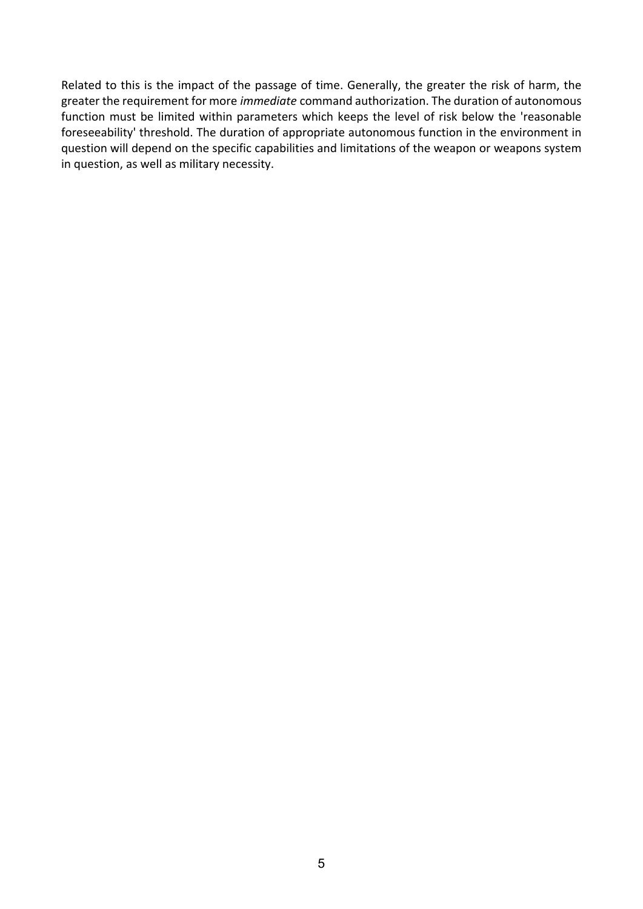Related to this is the impact of the passage of time. Generally, the greater the risk of harm, the greater the requirement for more *immediate* command authorization. The duration of autonomous function must be limited within parameters which keeps the level of risk below the 'reasonable foreseeability' threshold. The duration of appropriate autonomous function in the environment in question will depend on the specific capabilities and limitations of the weapon or weapons system in question, as well as military necessity.